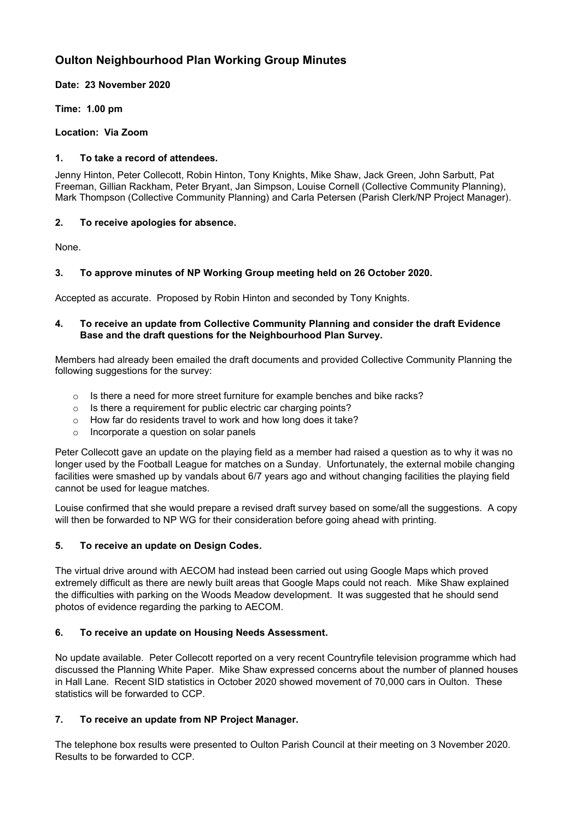# **Oulton Neighbourhood Plan Working Group Minutes**

**Date: 23 November 2020**

**Time: 1.00 pm**

**Location: Via Zoom**

### **1. To take a record of attendees.**

Jenny Hinton, Peter Collecott, Robin Hinton, Tony Knights, Mike Shaw, Jack Green, John Sarbutt, Pat Freeman, Gillian Rackham, Peter Bryant, Jan Simpson, Louise Cornell (Collective Community Planning), Mark Thompson (Collective Community Planning) and Carla Petersen (Parish Clerk/NP Project Manager).

## **2. To receive apologies for absence.**

None.

# **3. To approve minutes of NP Working Group meeting held on 26 October 2020.**

Accepted as accurate. Proposed by Robin Hinton and seconded by Tony Knights.

### **4. To receive an update from Collective Community Planning and consider the draft Evidence Base and the draft questions for the Neighbourhood Plan Survey.**

Members had already been emailed the draft documents and provided Collective Community Planning the following suggestions for the survey:

- $\circ$  Is there a need for more street furniture for example benches and bike racks?
- o Is there a requirement for public electric car charging points?
- o How far do residents travel to work and how long does it take?
- o Incorporate a question on solar panels

Peter Collecott gave an update on the playing field as a member had raised a question as to why it was no longer used by the Football League for matches on a Sunday. Unfortunately, the external mobile changing facilities were smashed up by vandals about 6/7 years ago and without changing facilities the playing field cannot be used for league matches.

Louise confirmed that she would prepare a revised draft survey based on some/all the suggestions. A copy will then be forwarded to NP WG for their consideration before going ahead with printing.

# **5. To receive an update on Design Codes.**

The virtual drive around with AECOM had instead been carried out using Google Maps which proved extremely difficult as there are newly built areas that Google Maps could not reach. Mike Shaw explained the difficulties with parking on the Woods Meadow development. It was suggested that he should send photos of evidence regarding the parking to AECOM.

### **6. To receive an update on Housing Needs Assessment.**

No update available. Peter Collecott reported on a very recent Countryfile television programme which had discussed the Planning White Paper. Mike Shaw expressed concerns about the number of planned houses in Hall Lane. Recent SID statistics in October 2020 showed movement of 70,000 cars in Oulton. These statistics will be forwarded to CCP.

# **7. To receive an update from NP Project Manager.**

The telephone box results were presented to Oulton Parish Council at their meeting on 3 November 2020. Results to be forwarded to CCP.